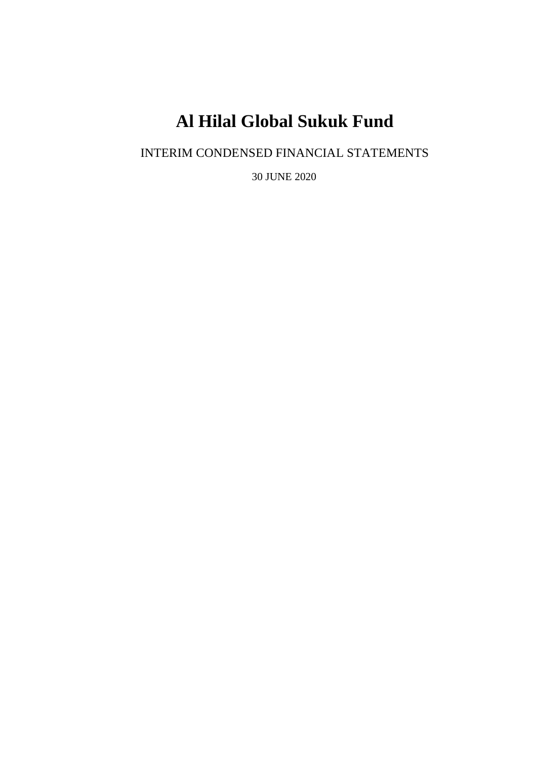INTERIM CONDENSED FINANCIAL STATEMENTS

30 JUNE 2020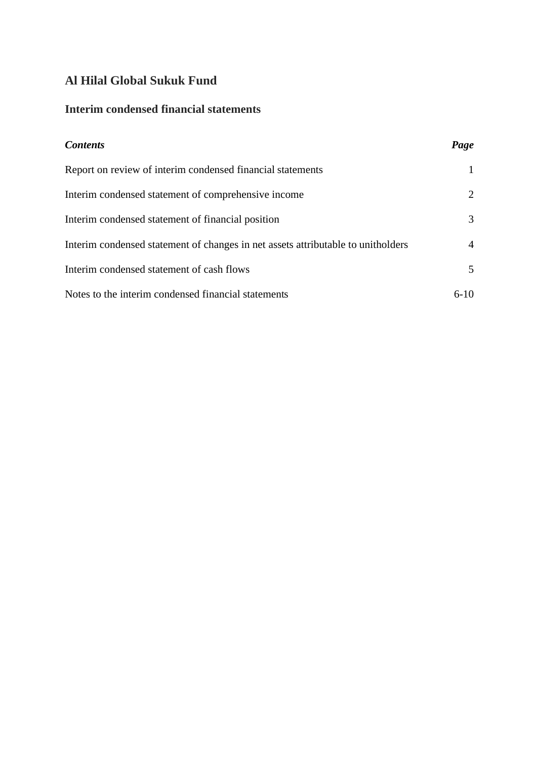# **Interim condensed financial statements**

| <b>Contents</b>                                                                  | Page           |
|----------------------------------------------------------------------------------|----------------|
| Report on review of interim condensed financial statements                       | $\mathbf{1}$   |
| Interim condensed statement of comprehensive income                              | 2              |
| Interim condensed statement of financial position                                | 3              |
| Interim condensed statement of changes in net assets attributable to unitholders | $\overline{4}$ |
| Interim condensed statement of cash flows                                        | 5              |
| Notes to the interim condensed financial statements                              | $6-10$         |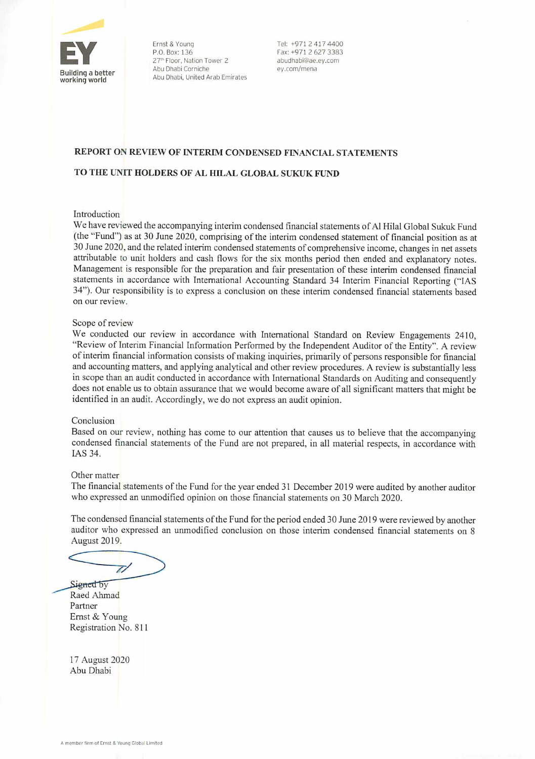

Ernst & Young<br>
P.O. Box: 136<br>
Fax: +971 2 627 3383 27<sup>th</sup> Floor, Nation Tower 2 abudhabi@ae.ey.com<br>Abu Dhabi Corniche **abudhabi@ae.ey.com/mena** Abu Dhabi, United Arab Emirates

#### REPORT ON REVIEW OF INTERIM CONDENSED FINANCIAL STATEMENTS

#### TO THE UNIT HOLDERS OF AL HILAL GLOBAL SUKUK FUND

#### Introduction

We have reviewed the accompanying interim condensed financial statements of Al Hilal Global Sukuk Fund (the "Fund") as at 30 June 2020, comprising of the interim condensed statement of financial position as at 30 June 2020, and the related interim condensed statements of comprehensive income, changes in net assets attributable to unit holders and cash flows for the six months period then ended and explanatory notes. Management is responsible for the preparation and fair presentation of these interim condensed financial statements in accordance with International Accounting Standard 34 Interim Financial Reporting ("IAS 34"). Our responsibility is to express a conclusion on these interim condensed financial statements based on our review.

#### Scope of review

We conducted our review in accordance with International Standard on Review Engagements 2410, "Review of Interim Financial Information Performed by the Independent Auditor of the Entity". A review of interim financial information consists of making inquiries, primarily of persons responsible for financial and accounting matters, and applying analytical and other review procedures. A review is substantially less in scope than an audit conducted in accordance with International Standards on Auditing and consequently does not enable us to obtain assurance that we would become aware of all significant matters that might be identified in an audit. Accordingly, we do not express an audit opinion.

#### Conclusion

Based on our review, nothing has come to our attention that causes us to believe that the accompanying condensed financial statements of the Fund are not prepared, in all material respects, in accordance with IAS 34.

#### Other matter

The financial statements of the Fund for the year ended 31 December 2019 were audited by another auditor who expressed an unmodified opinion on those fmancial statements on 30 March 2020.

The condensed financial statements of the Fimd for the period ended 30 June 2019 were reviewed by another auditor who expressed an unmodified conclusion on those interim condensed fmancial statements on 8 August 2019.

 $\overline{\mathscr{U}}$ Signed by

Raed Ahmad Partner Ernst&Young Registration No. 811

17 August 2020 Abu Dhabi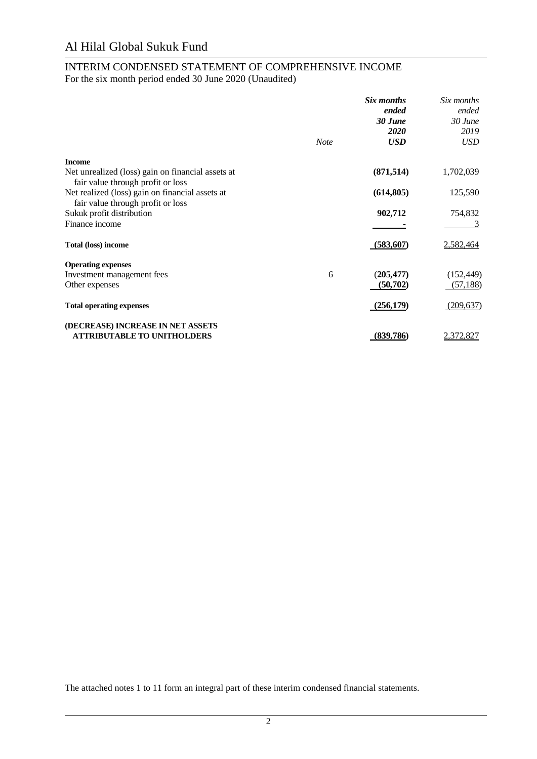# INTERIM CONDENSED STATEMENT OF COMPREHENSIVE INCOME

For the six month period ended 30 June 2020 (Unaudited)

|                                                                                        | <b>Note</b> | Six months<br>ended<br>30 June<br><b>2020</b><br><b>USD</b> | Six months<br>ended<br>$30$ June<br>2019<br><b>USD</b> |
|----------------------------------------------------------------------------------------|-------------|-------------------------------------------------------------|--------------------------------------------------------|
| <b>Income</b>                                                                          |             |                                                             |                                                        |
| Net unrealized (loss) gain on financial assets at<br>fair value through profit or loss |             | (871, 514)                                                  | 1,702,039                                              |
| Net realized (loss) gain on financial assets at<br>fair value through profit or loss   |             | (614, 805)                                                  | 125,590                                                |
| Sukuk profit distribution                                                              |             | 902,712                                                     | 754,832                                                |
| Finance income                                                                         |             |                                                             |                                                        |
| <b>Total (loss) income</b>                                                             |             | (583,607)                                                   | 2,582,464                                              |
| <b>Operating expenses</b>                                                              |             |                                                             |                                                        |
| Investment management fees                                                             | 6           | (205, 477)                                                  | (152, 449)                                             |
| Other expenses                                                                         |             | (50, 702)                                                   | (57, 188)                                              |
| <b>Total operating expenses</b>                                                        |             | (256, 179)                                                  | (209, 637)                                             |
| (DECREASE) INCREASE IN NET ASSETS                                                      |             |                                                             |                                                        |
| <b>ATTRIBUTABLE TO UNITHOLDERS</b>                                                     |             | (839,786)                                                   | 2,372,827                                              |

The attached notes 1 to 11 form an integral part of these interim condensed financial statements.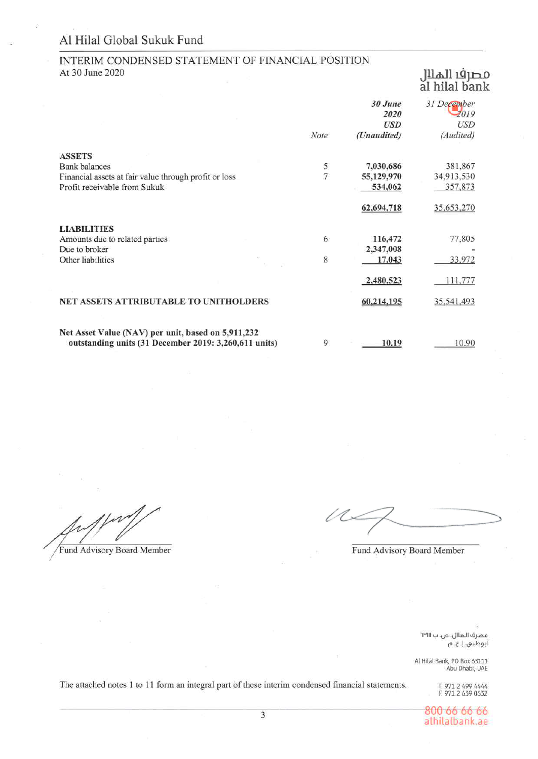#### INTERIM CONDENSED STATEMENT OF FINANCIAL POSITION At 30 June 2020

# مصرف الملال<br>al hilal bank

|                                                       |      | 30 June<br>2020<br><b>USD</b> | 31 December<br>2019<br><b>USD</b> |
|-------------------------------------------------------|------|-------------------------------|-----------------------------------|
|                                                       | Note | (Unaudited)                   | (Audited)                         |
| <b>ASSETS</b>                                         |      |                               |                                   |
| <b>Bank</b> balances                                  | 5    | 7,030,686                     | 381,867                           |
| Financial assets at fair value through profit or loss | 7    | 55,129,970                    | 34,913,530                        |
| Profit receivable from Sukuk                          |      | 534,062                       | 357,873                           |
|                                                       |      | 62,694,718                    | 35,653,270                        |
| <b>LIABILITIES</b>                                    |      |                               |                                   |
| Amounts due to related parties                        | 6    | 116,472                       | 77,805                            |
| Due to broker                                         |      | 2,347,008                     |                                   |
| Other liabilities                                     | 8    | 17,043                        | 33,972                            |
|                                                       |      | 2,480,523                     | 111,777                           |
| NET ASSETS ATTRIBUTABLE TO UNITHOLDERS                |      | 60,214,195                    | 35,541,493                        |
| Net Asset Value (NAV) per unit, based on 5,911,232    |      |                               |                                   |
| outstanding units (31 December 2019: 3,260,611 units) | 9    | 10.19                         | 10.90                             |

Fund Advisory Board Member

 $\varnothing$ 

Fund Advisory Board Member

مصرف الهلال، ص. ب <sub>I۳III</sub> أبوظبي. إ. ع. م

Al Hilal Bank, PO Box 63111<br>Abu Dhabi, UAE

The attached notes 1 to 11 form an integral part of these interim condensed financial statements.

T. 971 2 499 4444 F. 971 2 639 0632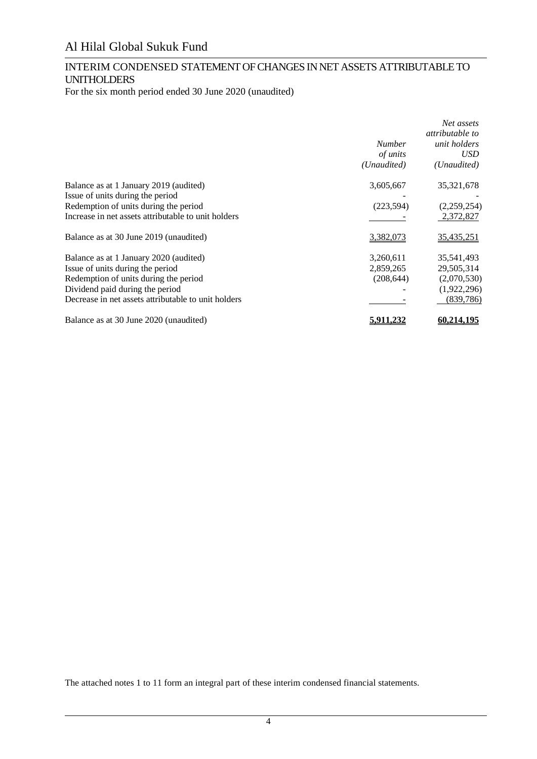## INTERIM CONDENSED STATEMENT OF CHANGES IN NET ASSETS ATTRIBUTABLE TO UNITHOLDERS

For the six month period ended 30 June 2020 (unaudited)

|                                                     |                  | Net assets        |
|-----------------------------------------------------|------------------|-------------------|
|                                                     |                  | attributable to   |
|                                                     | <i>Number</i>    | unit holders      |
|                                                     | of units         | USD               |
|                                                     | (Unaudited)      | (Unaudited)       |
| Balance as at 1 January 2019 (audited)              | 3,605,667        | 35,321,678        |
| Issue of units during the period                    |                  |                   |
| Redemption of units during the period               | (223, 594)       | (2,259,254)       |
| Increase in net assets attributable to unit holders |                  | 2,372,827         |
| Balance as at 30 June 2019 (unaudited)              | 3,382,073        | 35,435,251        |
| Balance as at 1 January 2020 (audited)              | 3,260,611        | 35,541,493        |
| Issue of units during the period                    | 2,859,265        | 29,505,314        |
| Redemption of units during the period               | (208, 644)       | (2,070,530)       |
| Dividend paid during the period                     |                  | (1,922,296)       |
| Decrease in net assets attributable to unit holders |                  | (839, 786)        |
| Balance as at 30 June 2020 (unaudited)              | <u>5.911.232</u> | <u>60.214.195</u> |

The attached notes 1 to 11 form an integral part of these interim condensed financial statements.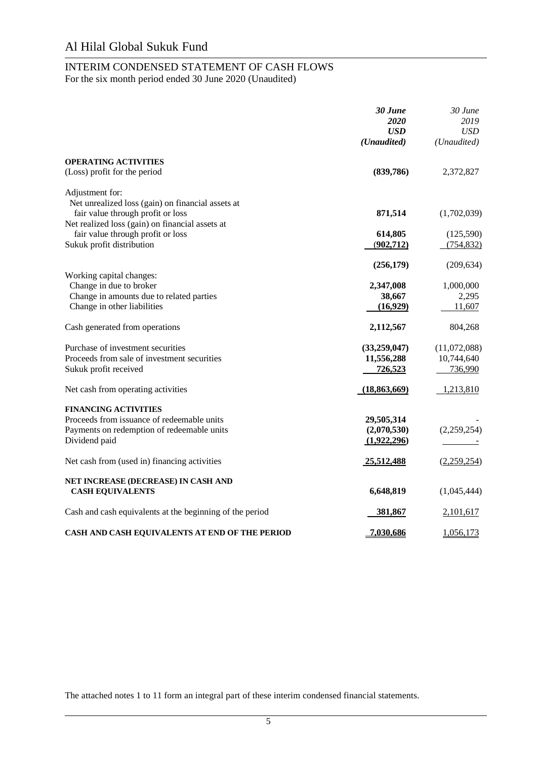#### INTERIM CONDENSED STATEMENT OF CASH FLOWS For the six month period ended 30 June 2020 (Unaudited)

|                                                                                                                                           | 30 June<br>2020<br><b>USD</b><br>(Unaudited) | 30 June<br>2019<br><b>USD</b><br>(Unaudited) |
|-------------------------------------------------------------------------------------------------------------------------------------------|----------------------------------------------|----------------------------------------------|
| <b>OPERATING ACTIVITIES</b><br>(Loss) profit for the period                                                                               | (839,786)                                    | 2,372,827                                    |
| Adjustment for:                                                                                                                           |                                              |                                              |
| Net unrealized loss (gain) on financial assets at<br>fair value through profit or loss<br>Net realized loss (gain) on financial assets at | 871,514                                      | (1,702,039)                                  |
| fair value through profit or loss<br>Sukuk profit distribution                                                                            | 614,805<br>(902, 712)                        | (125,590)<br>(754, 832)                      |
|                                                                                                                                           | (256, 179)                                   | (209, 634)                                   |
| Working capital changes:<br>Change in due to broker<br>Change in amounts due to related parties<br>Change in other liabilities            | 2,347,008<br>38,667<br>(16,929)              | 1,000,000<br>2,295<br>11,607                 |
| Cash generated from operations                                                                                                            | 2,112,567                                    | 804,268                                      |
| Purchase of investment securities<br>Proceeds from sale of investment securities<br>Sukuk profit received                                 | (33,259,047)<br>11,556,288<br>726,523        | (11,072,088)<br>10,744,640<br>736,990        |
| Net cash from operating activities                                                                                                        | (18, 863, 669)                               | 1,213,810                                    |
| <b>FINANCING ACTIVITIES</b><br>Proceeds from issuance of redeemable units<br>Payments on redemption of redeemable units<br>Dividend paid  | 29,505,314<br>(2,070,530)<br>(1,922,296)     | (2,259,254)                                  |
| Net cash from (used in) financing activities                                                                                              | 25,512,488                                   | (2,259,254)                                  |
| NET INCREASE (DECREASE) IN CASH AND<br><b>CASH EQUIVALENTS</b>                                                                            | 6,648,819                                    | (1,045,444)                                  |
| Cash and cash equivalents at the beginning of the period                                                                                  | 381,867                                      | 2,101,617                                    |
| CASH AND CASH EQUIVALENTS AT END OF THE PERIOD                                                                                            | 7,030,686                                    | 1,056,173                                    |

The attached notes 1 to 11 form an integral part of these interim condensed financial statements.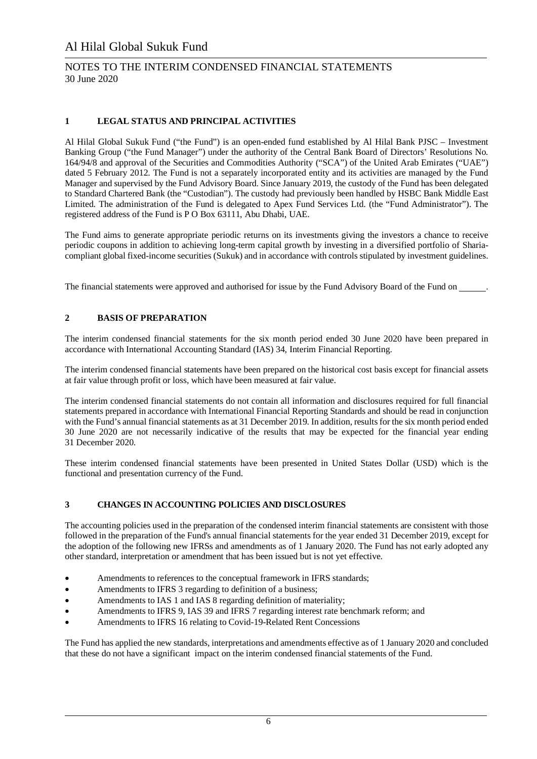#### NOTES TO THE INTERIM CONDENSED FINANCIAL STATEMENTS 30 June 2020

#### **1 LEGAL STATUS AND PRINCIPAL ACTIVITIES**

Al Hilal Global Sukuk Fund ("the Fund") is an open-ended fund established by Al Hilal Bank PJSC – Investment Banking Group ("the Fund Manager") under the authority of the Central Bank Board of Directors' Resolutions No. 164/94/8 and approval of the Securities and Commodities Authority ("SCA") of the United Arab Emirates ("UAE") dated 5 February 2012. The Fund is not a separately incorporated entity and its activities are managed by the Fund Manager and supervised by the Fund Advisory Board. Since January 2019, the custody of the Fund has been delegated to Standard Chartered Bank (the "Custodian"). The custody had previously been handled by HSBC Bank Middle East Limited. The administration of the Fund is delegated to Apex Fund Services Ltd. (the "Fund Administrator"). The registered address of the Fund is P O Box 63111, Abu Dhabi, UAE.

The Fund aims to generate appropriate periodic returns on its investments giving the investors a chance to receive periodic coupons in addition to achieving long-term capital growth by investing in a diversified portfolio of Shariacompliant global fixed-income securities (Sukuk) and in accordance with controls stipulated by investment guidelines.

The financial statements were approved and authorised for issue by the Fund Advisory Board of the Fund on .

#### **2 BASIS OF PREPARATION**

The interim condensed financial statements for the six month period ended 30 June 2020 have been prepared in accordance with International Accounting Standard (IAS) 34, Interim Financial Reporting.

The interim condensed financial statements have been prepared on the historical cost basis except for financial assets at fair value through profit or loss, which have been measured at fair value.

The interim condensed financial statements do not contain all information and disclosures required for full financial statements prepared in accordance with International Financial Reporting Standards and should be read in conjunction with the Fund's annual financial statements as at 31 December 2019. In addition, results for the six month period ended 30 June 2020 are not necessarily indicative of the results that may be expected for the financial year ending 31 December 2020.

These interim condensed financial statements have been presented in United States Dollar (USD) which is the functional and presentation currency of the Fund.

#### **3 CHANGES IN ACCOUNTING POLICIES AND DISCLOSURES**

The accounting policies used in the preparation of the condensed interim financial statements are consistent with those followed in the preparation of the Fund's annual financial statements for the year ended 31 December 2019, except for the adoption of the following new IFRSs and amendments as of 1 January 2020. The Fund has not early adopted any other standard, interpretation or amendment that has been issued but is not yet effective.

- Amendments to references to the conceptual framework in IFRS standards;
- Amendments to IFRS 3 regarding to definition of a business;
- Amendments to IAS 1 and IAS 8 regarding definition of materiality;
- Amendments to IFRS 9, IAS 39 and IFRS 7 regarding interest rate benchmark reform; and
- Amendments to IFRS 16 relating to Covid-19-Related Rent Concessions

The Fund has applied the new standards, interpretations and amendments effective as of 1 January 2020 and concluded that these do not have a significant impact on the interim condensed financial statements of the Fund.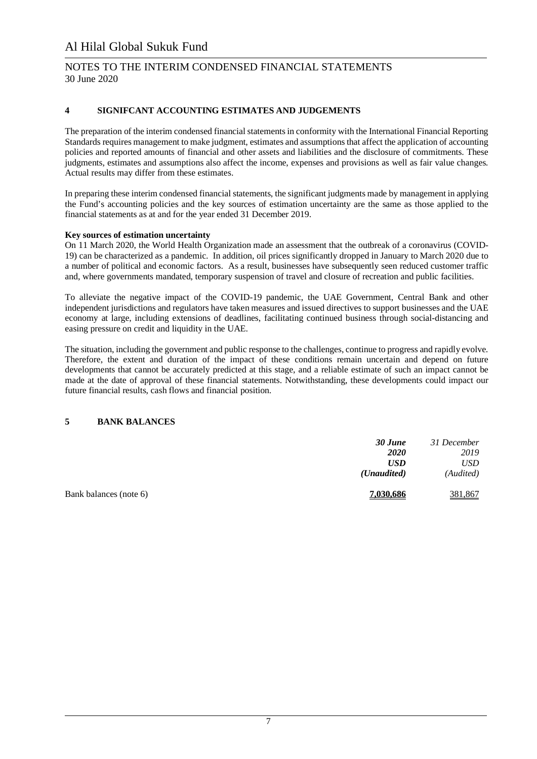#### NOTES TO THE INTERIM CONDENSED FINANCIAL STATEMENTS 30 June 2020

#### **4 SIGNIFCANT ACCOUNTING ESTIMATES AND JUDGEMENTS**

The preparation of the interim condensed financial statements in conformity with the International Financial Reporting Standards requires management to make judgment, estimates and assumptions that affect the application of accounting policies and reported amounts of financial and other assets and liabilities and the disclosure of commitments. These judgments, estimates and assumptions also affect the income, expenses and provisions as well as fair value changes. Actual results may differ from these estimates.

In preparing these interim condensed financial statements, the significant judgments made by management in applying the Fund's accounting policies and the key sources of estimation uncertainty are the same as those applied to the financial statements as at and for the year ended 31 December 2019.

#### **Key sources of estimation uncertainty**

On 11 March 2020, the World Health Organization made an assessment that the outbreak of a coronavirus (COVID-19) can be characterized as a pandemic. In addition, oil prices significantly dropped in January to March 2020 due to a number of political and economic factors. As a result, businesses have subsequently seen reduced customer traffic and, where governments mandated, temporary suspension of travel and closure of recreation and public facilities.

To alleviate the negative impact of the COVID-19 pandemic, the UAE Government, Central Bank and other independent jurisdictions and regulators have taken measures and issued directives to support businesses and the UAE economy at large, including extensions of deadlines, facilitating continued business through social-distancing and easing pressure on credit and liquidity in the UAE.

The situation, including the government and public response to the challenges, continue to progress and rapidly evolve. Therefore, the extent and duration of the impact of these conditions remain uncertain and depend on future developments that cannot be accurately predicted at this stage, and a reliable estimate of such an impact cannot be made at the date of approval of these financial statements. Notwithstanding, these developments could impact our future financial results, cash flows and financial position.

#### **5 BANK BALANCES**

|                        | 30 June              | 31 December |
|------------------------|----------------------|-------------|
|                        | <b>2020</b>          | 2019        |
|                        | <b>USD</b>           | USD         |
|                        | ( <i>Unaudited</i> ) | (Audited)   |
| Bank balances (note 6) | 7,030,686            | 381,867     |
|                        |                      |             |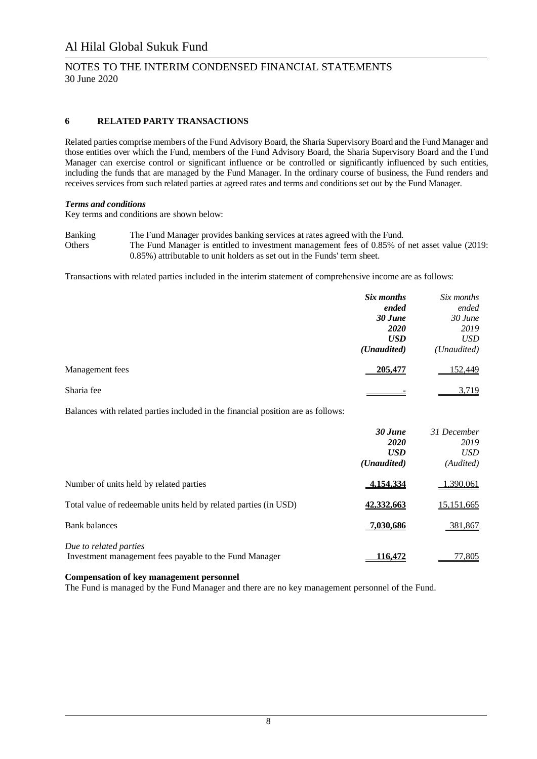#### NOTES TO THE INTERIM CONDENSED FINANCIAL STATEMENTS 30 June 2020

#### **6 RELATED PARTY TRANSACTIONS**

Related parties comprise members of the Fund Advisory Board, the Sharia Supervisory Board and the Fund Manager and those entities over which the Fund, members of the Fund Advisory Board, the Sharia Supervisory Board and the Fund Manager can exercise control or significant influence or be controlled or significantly influenced by such entities, including the funds that are managed by the Fund Manager. In the ordinary course of business, the Fund renders and receives services from such related parties at agreed rates and terms and conditions set out by the Fund Manager.

#### *Terms and conditions*

Key terms and conditions are shown below:

Banking The Fund Manager provides banking services at rates agreed with the Fund. Others The Fund Manager is entitled to investment management fees of 0.85% of net asset value (2019: 0.85%) attributable to unit holders as set out in the Funds' term sheet.

Transactions with related parties included in the interim statement of comprehensive income are as follows:

|                 | Six months<br>ended | Six months<br>ended |
|-----------------|---------------------|---------------------|
|                 | 30 June             | 30 June             |
|                 | <b>2020</b>         | 2019                |
|                 | <b>USD</b>          | <b>USD</b>          |
|                 | (Unaudited)         | (Unaudited)         |
| Management fees | 205,477             | 152,449             |
| Sharia fee      |                     | 3,719               |

Balances with related parties included in the financial position are as follows:

|                                                                                  | 30 June<br>2020<br><b>USD</b><br>( <i>Unaudited</i> ) | 31 December<br>2019<br><b>USD</b><br>(Audited) |
|----------------------------------------------------------------------------------|-------------------------------------------------------|------------------------------------------------|
| Number of units held by related parties                                          | 4.154.334                                             | 1,390,061                                      |
| Total value of redeemable units held by related parties (in USD)                 | 42,332,663                                            | 15,151,665                                     |
| <b>Bank balances</b>                                                             | <u>7,030,686</u>                                      | 381,867                                        |
| Due to related parties<br>Investment management fees payable to the Fund Manager | 16.472                                                | 77,805                                         |

#### **Compensation of key management personnel**

The Fund is managed by the Fund Manager and there are no key management personnel of the Fund.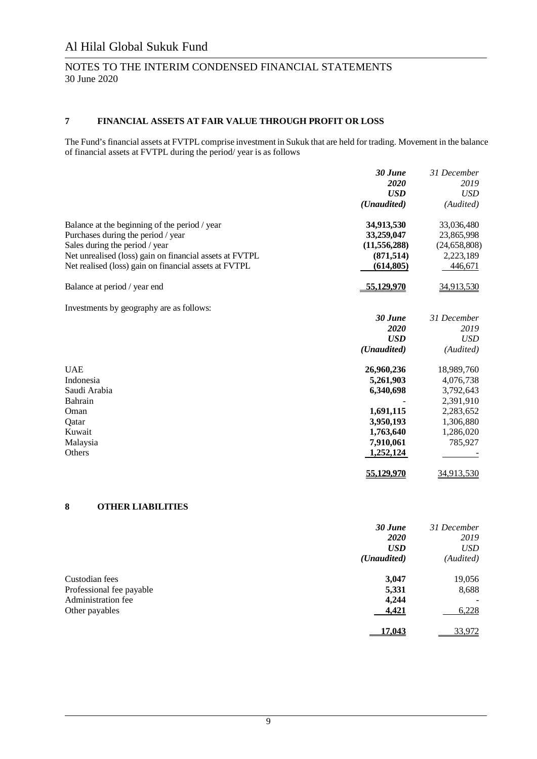#### NOTES TO THE INTERIM CONDENSED FINANCIAL STATEMENTS 30 June 2020

#### **7 FINANCIAL ASSETS AT FAIR VALUE THROUGH PROFIT OR LOSS**

The Fund's financial assets at FVTPL comprise investment in Sukuk that are held for trading. Movement in the balance of financial assets at FVTPL during the period/ year is as follows

|                                                         | 30 June        | 31 December    |
|---------------------------------------------------------|----------------|----------------|
|                                                         | 2020           | 2019           |
|                                                         | <b>USD</b>     | <b>USD</b>     |
|                                                         | (Unaudited)    | (Audited)      |
| Balance at the beginning of the period / year           | 34,913,530     | 33,036,480     |
| Purchases during the period / year                      | 33,259,047     | 23,865,998     |
| Sales during the period / year                          | (11, 556, 288) | (24, 658, 808) |
| Net unrealised (loss) gain on financial assets at FVTPL | (871, 514)     | 2,223,189      |
| Net realised (loss) gain on financial assets at FVTPL   | (614, 805)     | 446,671        |
| Balance at period / year end                            | 55,129,970     | 34,913,530     |
| Investments by geography are as follows:                |                |                |
|                                                         | 30 June        | 31 December    |
|                                                         | 2020           | 2019           |
|                                                         | <b>USD</b>     | <b>USD</b>     |
|                                                         | (Unaudited)    | (Audited)      |
| <b>UAE</b>                                              | 26,960,236     | 18,989,760     |
| Indonesia                                               | 5,261,903      | 4,076,738      |
| Saudi Arabia                                            | 6,340,698      | 3,792,643      |
| Bahrain                                                 |                | 2,391,910      |
| Oman                                                    | 1,691,115      | 2,283,652      |
| Oatar                                                   | 3,950,193      | 1,306,880      |
| Kuwait                                                  | 1,763,640      | 1,286,020      |
| Malaysia                                                | 7,910,061      | 785,927        |
| Others                                                  | 1,252,124      |                |
|                                                         | 55.129.970     | 34,913,530     |

#### **8 OTHER LIABILITIES**

|                          | 30 June              | 31 December |
|--------------------------|----------------------|-------------|
|                          | <b>2020</b>          | 2019        |
|                          | <b>USD</b>           | <b>USD</b>  |
|                          | ( <i>Unaudited</i> ) | (Audited)   |
| Custodian fees           | 3,047                | 19,056      |
| Professional fee payable | 5,331                | 8,688       |
| Administration fee       | 4,244                |             |
| Other payables           | 4,421                | 6,228       |
|                          | 17.043               | 33,972      |